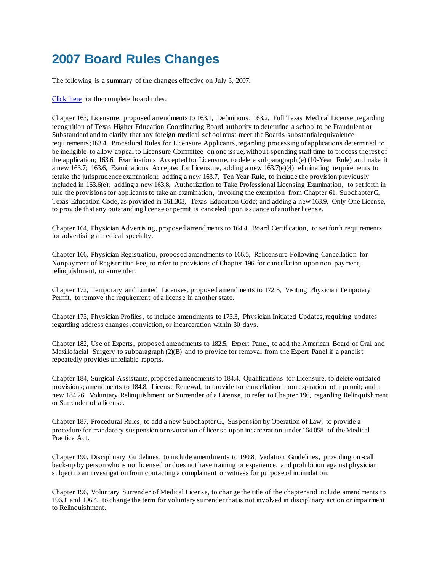## **2007 Board Rules Changes**

The following is a summary of the changes effective on July 3, 2007.

[Click here](file:///C:/rules/rules/bdrules.php) for the complete board rules.

Chapter 163, Licensure, proposed amendments to 163.1, Definitions; 163.2, Full Texas Medical License, regarding recognition of Texas Higher Education Coordinating Board authority to determine a school to be Fraudulent or Substandard and to clarify that any foreign medical school must meet the Boards substantial equivalence requirements;163.4, Procedural Rules for Licensure Applicants, regarding processing of applications determined to be ineligible to allow appeal to Licensure Committee on one issue, without spending staff time to process the rest of the application; 163.6, Examinations Accepted for Licensure, to delete subparagraph (e) (10-Year Rule) and make it a new 163.7; 163.6, Examinations Accepted for Licensure, adding a new 163.7(e)(4) eliminating requirements to retake the jurisprudence examination; adding a new 163.7, Ten Year Rule, to include the provision previously included in 163.6(e); adding a new 163.8, Authorization to Take Professional Licensing Examination, to set forth in rule the provisions for applicants to take an examination, invoking the exemption from Chapter 61, Subchapter G, Texas Education Code, as provided in 161.303, Texas Education Code; and adding a new 163.9, Only One License, to provide that any outstanding license or permit is canceled upon issuance of another license.

Chapter 164, Physician Advertising, proposed amendments to 164.4, Board Certification, to set forth requirements for advertising a medical specialty.

Chapter 166, Physician Registration, proposed amendments to 166.5, Relicensure Following Cancellation for Nonpayment of Registration Fee, to refer to provisions of Chapter 196 for cancellation upon non -payment, relinquishment, or surrender.

Chapter 172, Temporary and Limited Licenses, proposed amendments to 172.5, Visiting Physician Temporary Permit, to remove the requirement of a license in another state.

Chapter 173, Physician Profiles, to include amendments to 173.3, Physician Initiated Updates, requiring updates regarding address changes, conviction, or incarceration within 30 days.

Chapter 182, Use of Experts, proposed amendments to 182.5, Expert Panel, to add the American Board of Oral and Maxillofacial Surgery to subparagraph (2)(B) and to provide for removal from the Expert Panel if a panelist repeatedly provides unreliable reports.

Chapter 184, Surgical Assistants, proposed amendments to 184.4, Qualifications for Licensure, to delete outdated provisions; amendments to 184.8, License Renewal, to provide for cancellation upon expiration of a permit; and a new 184.26, Voluntary Relinquishment or Surrender of a License, to refer to Chapter 196, regarding Relinquishment or Surrender of a license.

Chapter 187, Procedural Rules, to add a new Subchapter G., Suspension by Operation of Law, to provide a procedure for mandatory suspension or revocation of license upon incarceration under 164.058 of the Medical Practice Act.

Chapter 190. Disciplinary Guidelines, to include amendments to 190.8, Violation Guidelines, providing on -call back-up by person who is not licensed or does not have training or experience, and prohibition against physician subject to an investigation from contacting a complainant or witness for purpose of intimidation.

Chapter 196, Voluntary Surrender of Medical License, to change the title of the chapter and include amendments to 196.1 and 196.4, to change the term for voluntary surrender that is not involved in disciplinary action or impairment to Relinquishment.